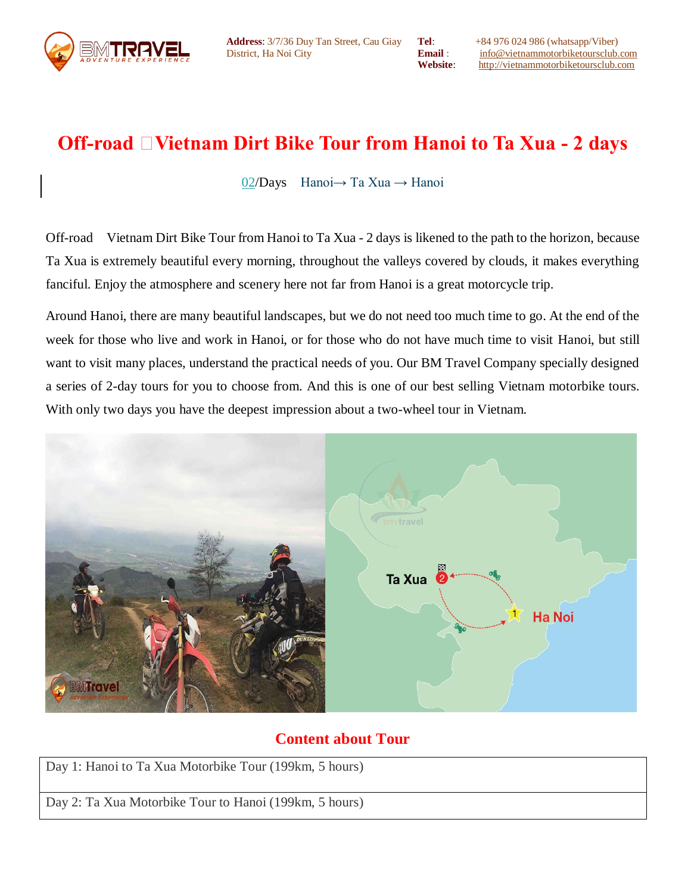

**Tel**: +84 976 024 986 (whatsapp/Viber) **Email** : [info@vietnammotorbiketoursclub.com](mailto:info@vietnammotorbiketoursclub.com) **Website**: [http://vietnammotorbiketoursclub.com](http://vietnammotorbiketoursclub.com/)

# **Off-road Dirt Bike Tour from Hanoi to Ta Xua - 2 days**

02/Days [Hanoi→ Ta Xua → Hanoi](javascript://)

Off-road Vietnam Dirt Bike Tour from Hanoi to Ta Xua - 2 days is likened to the path to the horizon, because Ta Xua is extremely beautiful every morning, throughout the valleys covered by clouds, it makes everything fanciful. Enjoy the atmosphere and scenery here not far from Hanoi is a great motorcycle trip.

Around Hanoi, there are many beautiful landscapes, but we do not need too much time to go. At the end of the week for those who live and work in Hanoi, or for those who do not have much time to visit Hanoi, but still want to visit many places, understand the practical needs of you. Our BM Travel Company specially designed a series of 2-day tours for you to choose from. And this is one of our best selling Vietnam motorbike tours. With only two days you have the deepest impression about a two-wheel tour in Vietnam.



# **Content about Tour**

Day 1: Hanoi to Ta Xua Motorbike Tour (199km, 5 hours) Day 2: Ta Xua Motorbike Tour to Hanoi (199km, 5 hours)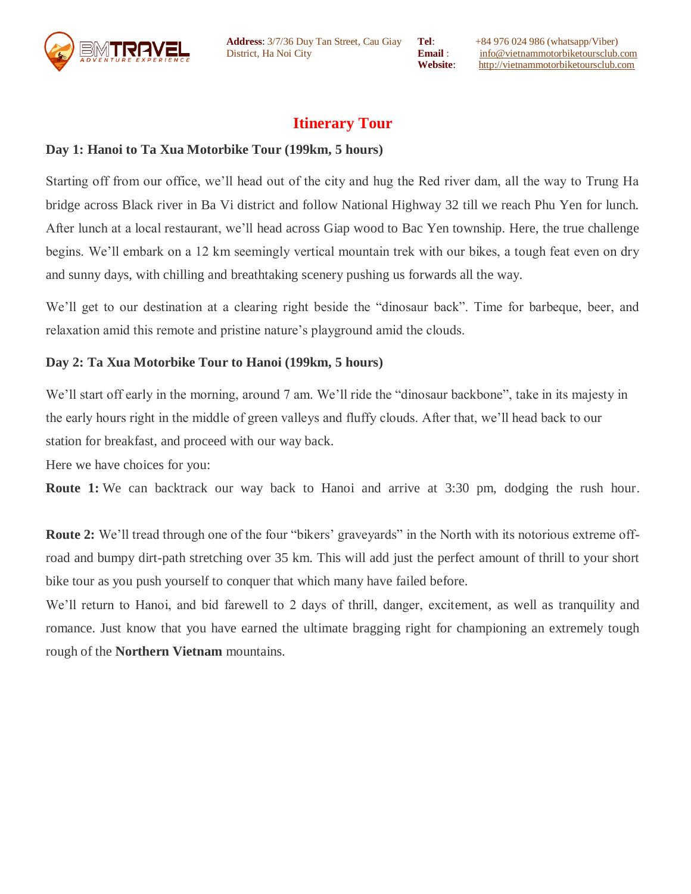

**Address**: 3/7/36 Duy Tan Street, Cau Giay District, Ha Noi City

**Tel**: +84 976 024 986 (whatsapp/Viber) **Email** : [info@vietnammotorbiketoursclub.com](mailto:info@vietnammotorbiketoursclub.com) **Website**: [http://vietnammotorbiketoursclub.com](http://vietnammotorbiketoursclub.com/)

# **Itinerary Tour**

## **Day 1: Hanoi to Ta Xua Motorbike Tour (199km, 5 hours)**

Starting off from our office, we'll head out of the city and hug the Red river dam, all the way to Trung Ha bridge across Black river in Ba Vi district and follow National Highway 32 till we reach Phu Yen for lunch. After lunch at a local restaurant, we'll head across Giap wood to Bac Yen township. Here, the true challenge begins. We'll embark on a 12 km seemingly vertical mountain trek with our bikes, a tough feat even on dry and sunny days, with chilling and breathtaking scenery pushing us forwards all the way.

We'll get to our destination at a clearing right beside the "dinosaur back". Time for barbeque, beer, and relaxation amid this remote and pristine nature's playground amid the clouds.

### **Day 2: Ta Xua Motorbike Tour to Hanoi (199km, 5 hours)**

We'll start off early in the morning, around 7 am. We'll ride the "dinosaur backbone", take in its majesty in the early hours right in the middle of green valleys and fluffy clouds. After that, we'll head back to our station for breakfast, and proceed with our way back.

Here we have choices for you:

**Route 1:** We can backtrack our way back to Hanoi and arrive at 3:30 pm, dodging the rush hour.

**Route 2:** We'll tread through one of the four "bikers' graveyards" in the North with its notorious extreme offroad and bumpy dirt-path stretching over 35 km. This will add just the perfect amount of thrill to your short bike tour as you push yourself to conquer that which many have failed before.

We'll return to Hanoi, and bid farewell to 2 days of thrill, danger, excitement, as well as tranquility and romance. Just know that you have earned the ultimate bragging right for championing an extremely tough rough of the **Northern Vietnam** mountains.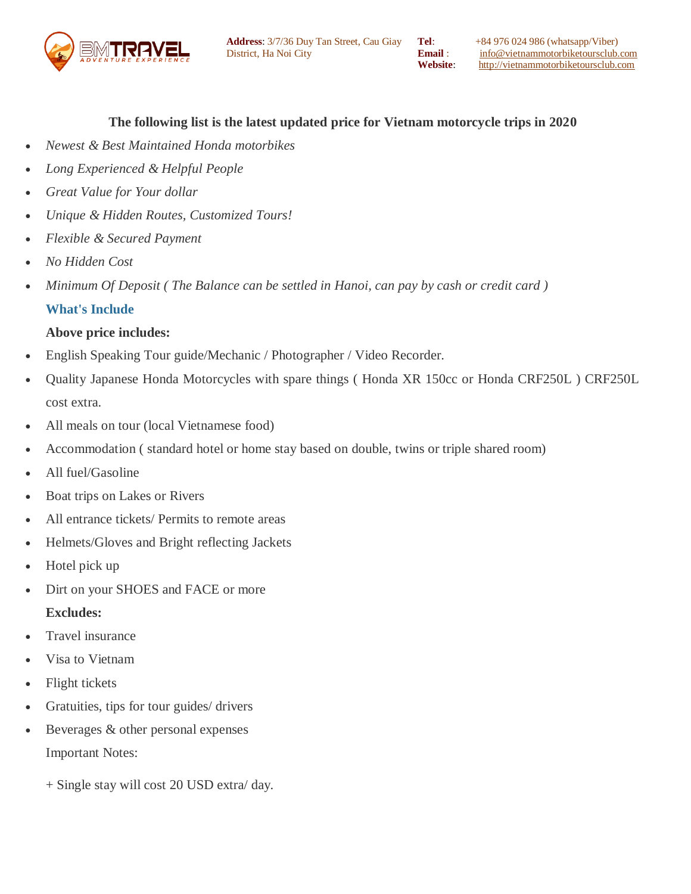

### **The following list is the latest updated price for Vietnam motorcycle trips in 2020**

- *Newest & Best Maintained Honda motorbikes*
- *Long Experienced & Helpful People*
- *Great Value for Your dollar*
- *Unique & Hidden Routes, Customized Tours!*
- *Flexible & Secured Payment*
- *No Hidden Cost*
- *Minimum Of Deposit ( The Balance can be settled in Hanoi, can pay by cash or credit card )* **What's Include**

### **Above price includes:**

- English Speaking Tour guide/Mechanic / Photographer / Video Recorder.
- Quality Japanese Honda Motorcycles with spare things ( Honda XR 150cc or Honda CRF250L ) CRF250L cost extra.
- All meals on tour (local Vietnamese food)
- Accommodation ( standard hotel or home stay based on double, twins or triple shared room)
- All fuel/Gasoline
- Boat trips on Lakes or Rivers
- All entrance tickets/ Permits to remote areas
- Helmets/Gloves and Bright reflecting Jackets
- Hotel pick up
- Dirt on your SHOES and FACE or more

#### **Excludes:**

- Travel insurance
- Visa to Vietnam
- Flight tickets
- Gratuities, tips for tour guides/ drivers
- Beverages & other personal expenses Important Notes:
	- + Single stay will cost 20 USD extra/ day.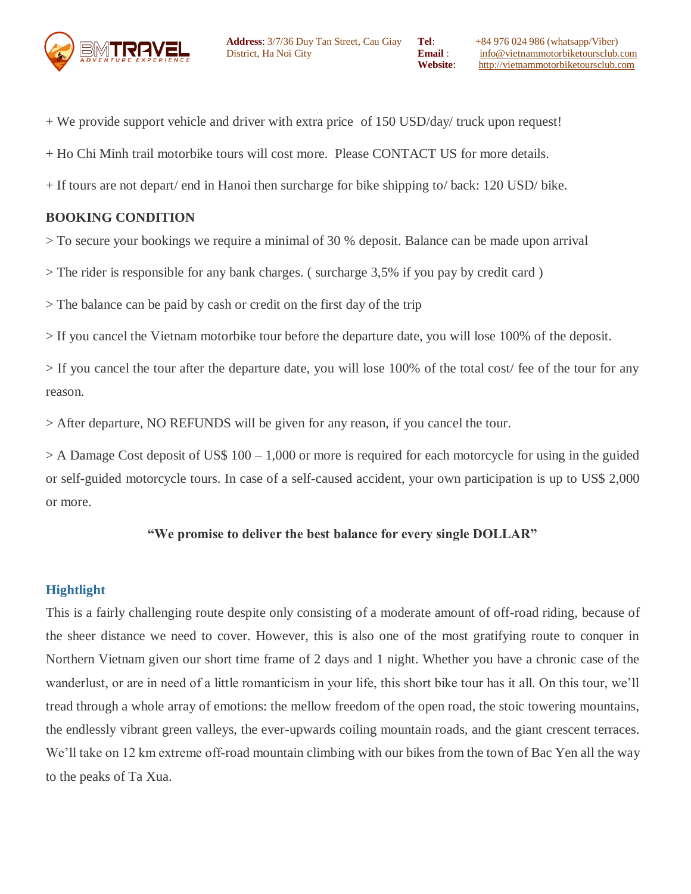

- + We provide support vehicle and driver with extra price of 150 USD/day/ truck upon request!
- + Ho Chi Minh trail motorbike tours will cost more. Please CONTACT US for more details.
- + If tours are not depart/ end in Hanoi then surcharge for bike shipping to/ back: 120 USD/ bike.

#### **BOOKING CONDITION**

> To secure your bookings we require a minimal of 30 % deposit. Balance can be made upon arrival

> The rider is responsible for any bank charges. ( surcharge 3,5% if you pay by credit card )

> The balance can be paid by cash or credit on the first day of the trip

> If you cancel the Vietnam motorbike tour before the departure date, you will lose 100% of the deposit.

> If you cancel the tour after the departure date, you will lose 100% of the total cost/ fee of the tour for any reason.

> After departure, NO REFUNDS will be given for any reason, if you cancel the tour.

 $>$  A Damage Cost deposit of US\$ 100 – 1,000 or more is required for each motorcycle for using in the guided or self-guided motorcycle tours. In case of a self-caused accident, your own participation is up to US\$ 2,000 or more.

### **"We promise to deliver the best balance for every single DOLLAR"**

### **Hightlight**

This is a fairly challenging route despite only consisting of a moderate amount of off-road riding, because of the sheer distance we need to cover. However, this is also one of the most gratifying route to conquer in Northern Vietnam given our short time frame of 2 days and 1 night. Whether you have a chronic case of the wanderlust, or are in need of a little romanticism in your life, this short bike tour has it all. On this tour, we'll tread through a whole array of emotions: the mellow freedom of the open road, the stoic towering mountains, the endlessly vibrant green valleys, the ever-upwards coiling mountain roads, and the giant crescent terraces. We'll take on 12 km extreme off-road mountain climbing with our bikes from the town of Bac Yen all the way to the peaks of Ta Xua.